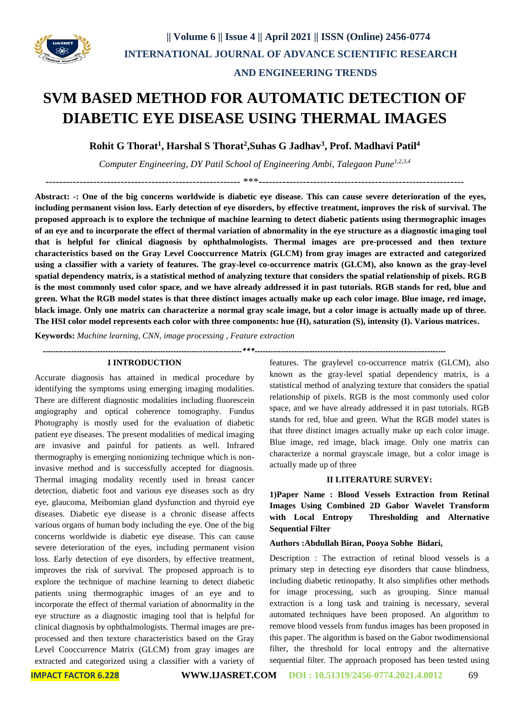

# **SVM BASED METHOD FOR AUTOMATIC DETECTION OF DIABETIC EYE DISEASE USING THERMAL IMAGES**

**Rohit G Thorat<sup>1</sup> , Harshal S Thorat<sup>2</sup> ,Suhas G Jadhav<sup>3</sup> , Prof. Madhavi Patil<sup>4</sup>**

*Computer Engineering, DY Patil School of Engineering Ambi, Talegaon Pune1,2,3,4*

--------------------------------------------------------- \*\*\*------------------------------------------------------------

**Abstract: -: One of the big concerns worldwide is diabetic eye disease. This can cause severe deterioration of the eyes, including permanent vision loss. Early detection of eye disorders, by effective treatment, improves the risk of survival. The proposed approach is to explore the technique of machine learning to detect diabetic patients using thermographic images of an eye and to incorporate the effect of thermal variation of abnormality in the eye structure as a diagnostic imaging tool that is helpful for clinical diagnosis by ophthalmologists. Thermal images are pre-processed and then texture characteristics based on the Gray Level Cooccurrence Matrix (GLCM) from gray images are extracted and categorized using a classifier with a variety of features. The gray-level co-occurrence matrix (GLCM), also known as the gray-level spatial dependency matrix, is a statistical method of analyzing texture that considers the spatial relationship of pixels. RGB is the most commonly used color space, and we have already addressed it in past tutorials. RGB stands for red, blue and green. What the RGB model states is that three distinct images actually make up each color image. Blue image, red image, black image. Only one matrix can characterize a normal gray scale image, but a color image is actually made up of three. The HSI color model represents each color with three components: hue (H), saturation (S), intensity (I). Various matrices.** 

**Keywords:** *Machine learning, CNN, image processing , Feature extraction* 

*----------------------------------------------------------------------------\*\*\*-------------------------------------------------------------------------*

#### **I INTRODUCTION**

Accurate diagnosis has attained in medical procedure by identifying the symptoms using emerging imaging modalities. There are different diagnostic modalities including fluorescein angiography and optical coherence tomography. Fundus Photography is mostly used for the evaluation of diabetic patient eye diseases. The present modalities of medical imaging are invasive and painful for patients as well. Infrared thermography is emerging nonionizing technique which is noninvasive method and is successfully accepted for diagnosis. Thermal imaging modality recently used in breast cancer detection, diabetic foot and various eye diseases such as dry eye, glaucoma, Meibomian gland dysfunction and thyroid eye diseases. Diabetic eye disease is a chronic disease affects various organs of human body including the eye. One of the big concerns worldwide is diabetic eye disease. This can cause severe deterioration of the eyes, including permanent vision loss. Early detection of eye disorders, by effective treatment, improves the risk of survival. The proposed approach is to explore the technique of machine learning to detect diabetic patients using thermographic images of an eye and to incorporate the effect of thermal variation of abnormality in the eye structure as a diagnostic imaging tool that is helpful for clinical diagnosis by ophthalmologists. Thermal images are preprocessed and then texture characteristics based on the Gray Level Cooccurrence Matrix (GLCM) from gray images are extracted and categorized using a classifier with a variety of features. The graylevel co-occurrence matrix (GLCM), also known as the gray-level spatial dependency matrix, is a statistical method of analyzing texture that considers the spatial relationship of pixels. RGB is the most commonly used color space, and we have already addressed it in past tutorials. RGB stands for red, blue and green. What the RGB model states is that three distinct images actually make up each color image. Blue image, red image, black image. Only one matrix can characterize a normal grayscale image, but a color image is actually made up of three

#### **II LITERATURE SURVEY:**

**1)Paper Name : Blood Vessels Extraction from Retinal Images Using Combined 2D Gabor Wavelet Transform with Local Entropy Thresholding and Alternative Sequential Filter** 

#### **Authors :Abdullah Biran, Pooya Sobhe Bidari,**

Description : The extraction of retinal blood vessels is a primary step in detecting eye disorders that cause blindness, including diabetic retinopathy. It also simplifies other methods for image processing, such as grouping. Since manual extraction is a long task and training is necessary, several automated techniques have been proposed. An algorithm to remove blood vessels from fundus images has been proposed in this paper. The algorithm is based on the Gabor twodimensional filter, the threshold for local entropy and the alternative sequential filter. The approach proposed has been tested using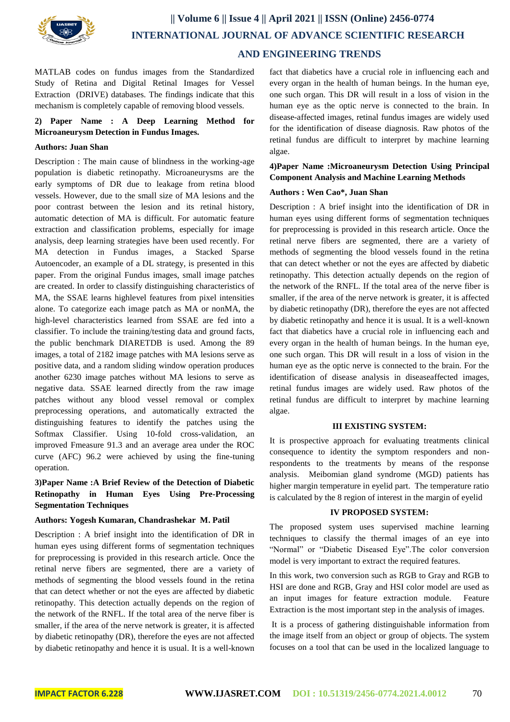

MATLAB codes on fundus images from the Standardized Study of Retina and Digital Retinal Images for Vessel Extraction (DRIVE) databases. The findings indicate that this mechanism is completely capable of removing blood vessels.

## **2) Paper Name : A Deep Learning Method for Microaneurysm Detection in Fundus Images.**

#### **Authors: Juan Shan**

Description : The main cause of blindness in the working-age population is diabetic retinopathy. Microaneurysms are the early symptoms of DR due to leakage from retina blood vessels. However, due to the small size of MA lesions and the poor contrast between the lesion and its retinal history, automatic detection of MA is difficult. For automatic feature extraction and classification problems, especially for image analysis, deep learning strategies have been used recently. For MA detection in Fundus images, a Stacked Sparse Autoencoder, an example of a DL strategy, is presented in this paper. From the original Fundus images, small image patches are created. In order to classify distinguishing characteristics of MA, the SSAE learns highlevel features from pixel intensities alone. To categorize each image patch as MA or nonMA, the high-level characteristics learned from SSAE are fed into a classifier. To include the training/testing data and ground facts, the public benchmark DIARETDB is used. Among the 89 images, a total of 2182 image patches with MA lesions serve as positive data, and a random sliding window operation produces another 6230 image patches without MA lesions to serve as negative data. SSAE learned directly from the raw image patches without any blood vessel removal or complex preprocessing operations, and automatically extracted the distinguishing features to identify the patches using the Softmax Classifier. Using 10-fold cross-validation, an improved Fmeasure 91.3 and an average area under the ROC curve (AFC) 96.2 were achieved by using the fine-tuning operation.

# **3)Paper Name :A Brief Review of the Detection of Diabetic Retinopathy in Human Eyes Using Pre-Processing Segmentation Techniques**

#### **Authors: Yogesh Kumaran, Chandrashekar M. Patil**

Description : A brief insight into the identification of DR in human eyes using different forms of segmentation techniques for preprocessing is provided in this research article. Once the retinal nerve fibers are segmented, there are a variety of methods of segmenting the blood vessels found in the retina that can detect whether or not the eyes are affected by diabetic retinopathy. This detection actually depends on the region of the network of the RNFL. If the total area of the nerve fiber is smaller, if the area of the nerve network is greater, it is affected by diabetic retinopathy (DR), therefore the eyes are not affected by diabetic retinopathy and hence it is usual. It is a well-known fact that diabetics have a crucial role in influencing each and every organ in the health of human beings. In the human eye, one such organ. This DR will result in a loss of vision in the human eye as the optic nerve is connected to the brain. In disease-affected images, retinal fundus images are widely used for the identification of disease diagnosis. Raw photos of the retinal fundus are difficult to interpret by machine learning algae.

### **4)Paper Name :Microaneurysm Detection Using Principal Component Analysis and Machine Learning Methods**

#### **Authors : Wen Cao\*, Juan Shan**

Description : A brief insight into the identification of DR in human eyes using different forms of segmentation techniques for preprocessing is provided in this research article. Once the retinal nerve fibers are segmented, there are a variety of methods of segmenting the blood vessels found in the retina that can detect whether or not the eyes are affected by diabetic retinopathy. This detection actually depends on the region of the network of the RNFL. If the total area of the nerve fiber is smaller, if the area of the nerve network is greater, it is affected by diabetic retinopathy (DR), therefore the eyes are not affected by diabetic retinopathy and hence it is usual. It is a well-known fact that diabetics have a crucial role in influencing each and every organ in the health of human beings. In the human eye, one such organ. This DR will result in a loss of vision in the human eye as the optic nerve is connected to the brain. For the identification of disease analysis in diseaseaffected images, retinal fundus images are widely used. Raw photos of the retinal fundus are difficult to interpret by machine learning algae.

#### **III EXISTING SYSTEM:**

It is prospective approach for evaluating treatments clinical consequence to identity the symptom responders and nonrespondents to the treatments by means of the response analysis. Meibomian gland syndrome (MGD) patients has higher margin temperature in eyelid part. The temperature ratio is calculated by the 8 region of interest in the margin of eyelid

#### **IV PROPOSED SYSTEM:**

The proposed system uses supervised machine learning techniques to classify the thermal images of an eye into "Normal" or "Diabetic Diseased Eye".The color conversion model is very important to extract the required features.

In this work, two conversion such as RGB to Gray and RGB to HSI are done and RGB, Gray and HSI color model are used as an input images for feature extraction module. Feature Extraction is the most important step in the analysis of images.

It is a process of gathering distinguishable information from the image itself from an object or group of objects. The system focuses on a tool that can be used in the localized language to